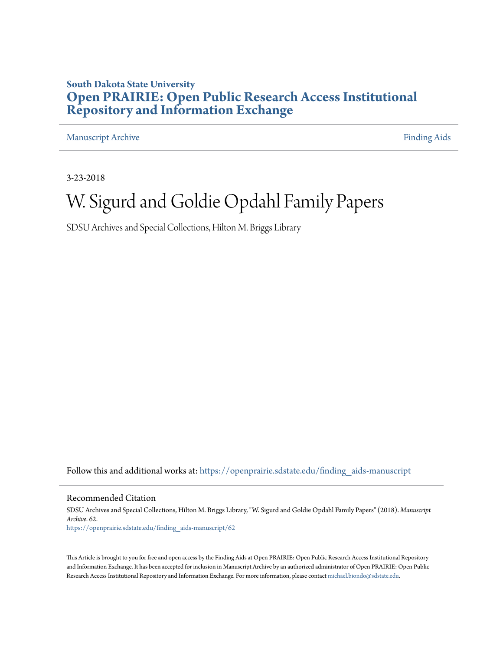#### **South Dakota State University [Open PRAIRIE: Open Public Research Access Institutional](https://openprairie.sdstate.edu?utm_source=openprairie.sdstate.edu%2Ffinding_aids-manuscript%2F62&utm_medium=PDF&utm_campaign=PDFCoverPages) [Repository and Information Exchange](https://openprairie.sdstate.edu?utm_source=openprairie.sdstate.edu%2Ffinding_aids-manuscript%2F62&utm_medium=PDF&utm_campaign=PDFCoverPages)**

[Manuscript Archive](https://openprairie.sdstate.edu/finding_aids-manuscript?utm_source=openprairie.sdstate.edu%2Ffinding_aids-manuscript%2F62&utm_medium=PDF&utm_campaign=PDFCoverPages) **[Finding Aids](https://openprairie.sdstate.edu/finding_aids?utm_source=openprairie.sdstate.edu%2Ffinding_aids-manuscript%2F62&utm_medium=PDF&utm_campaign=PDFCoverPages) Finding Aids** 

3-23-2018

## W. Sigurd and Goldie Opdahl Family Papers

SDSU Archives and Special Collections, Hilton M. Briggs Library

Follow this and additional works at: [https://openprairie.sdstate.edu/finding\\_aids-manuscript](https://openprairie.sdstate.edu/finding_aids-manuscript?utm_source=openprairie.sdstate.edu%2Ffinding_aids-manuscript%2F62&utm_medium=PDF&utm_campaign=PDFCoverPages)

Recommended Citation

SDSU Archives and Special Collections, Hilton M. Briggs Library, "W. Sigurd and Goldie Opdahl Family Papers" (2018). *Manuscript Archive*. 62. [https://openprairie.sdstate.edu/finding\\_aids-manuscript/62](https://openprairie.sdstate.edu/finding_aids-manuscript/62?utm_source=openprairie.sdstate.edu%2Ffinding_aids-manuscript%2F62&utm_medium=PDF&utm_campaign=PDFCoverPages)

This Article is brought to you for free and open access by the Finding Aids at Open PRAIRIE: Open Public Research Access Institutional Repository and Information Exchange. It has been accepted for inclusion in Manuscript Archive by an authorized administrator of Open PRAIRIE: Open Public Research Access Institutional Repository and Information Exchange. For more information, please contact [michael.biondo@sdstate.edu.](mailto:michael.biondo@sdstate.edu)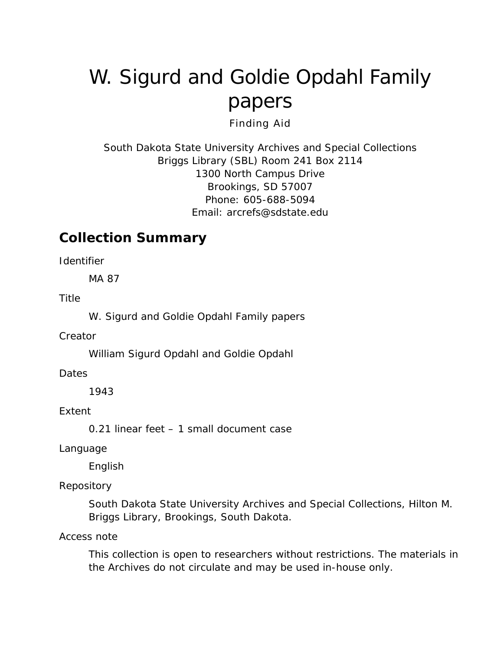# W. Sigurd and Goldie Opdahl Family papers

Finding Aid

South Dakota State University Archives and Special Collections Briggs Library (SBL) Room 241 Box 2114 1300 North Campus Drive Brookings, SD 57007 Phone: 605-688-5094 Email: [arcrefs@sdstate.edu](mailto:arcrefs@sdstate.edu)

### **Collection Summary**

*Identifier*

MA 87

*Title*

W. Sigurd and Goldie Opdahl Family papers

*Creator*

William Sigurd Opdahl and Goldie Opdahl

*Dates*

1943

*Extent*

0.21 linear feet – 1 small document case

*Language*

English

#### *Repository*

South Dakota State University Archives and Special Collections, Hilton M. Briggs Library, Brookings, South Dakota.

*Access note*

This collection is open to researchers without restrictions. The materials in the Archives do not circulate and may be used in-house only.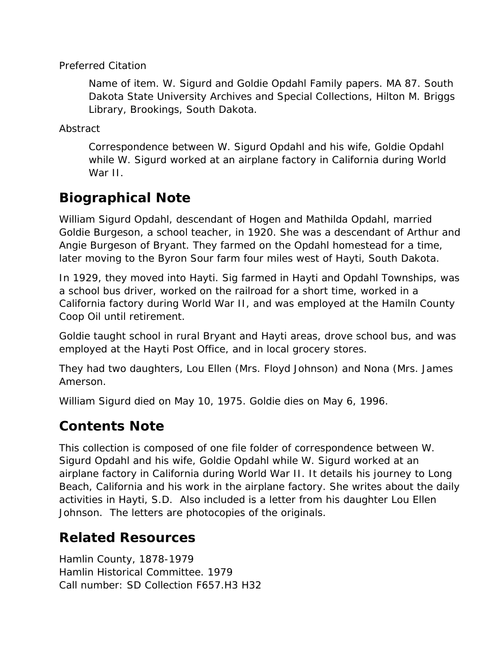#### *Preferred Citation*

*Name of item.* W. Sigurd and Goldie Opdahl Family papers. MA 87. South Dakota State University Archives and Special Collections, Hilton M. Briggs Library, Brookings, South Dakota.

*Abstract*

Correspondence between W. Sigurd Opdahl and his wife, Goldie Opdahl while W. Sigurd worked at an airplane factory in California during World War II.

## **Biographical Note**

William Sigurd Opdahl, descendant of Hogen and Mathilda Opdahl, married Goldie Burgeson, a school teacher, in 1920. She was a descendant of Arthur and Angie Burgeson of Bryant. They farmed on the Opdahl homestead for a time, later moving to the Byron Sour farm four miles west of Hayti, South Dakota.

In 1929, they moved into Hayti. Sig farmed in Hayti and Opdahl Townships, was a school bus driver, worked on the railroad for a short time, worked in a California factory during World War II, and was employed at the Hamiln County Coop Oil until retirement.

Goldie taught school in rural Bryant and Hayti areas, drove school bus, and was employed at the Hayti Post Office, and in local grocery stores.

They had two daughters, Lou Ellen (Mrs. Floyd Johnson) and Nona (Mrs. James Amerson.

William Sigurd died on May 10, 1975. Goldie dies on May 6, 1996.

#### **Contents Note**

This collection is composed of one file folder of correspondence between W. Sigurd Opdahl and his wife, Goldie Opdahl while W. Sigurd worked at an airplane factory in California during World War II. It details his journey to Long Beach, California and his work in the airplane factory. She writes about the daily activities in Hayti, S.D. Also included is a letter from his daughter Lou Ellen Johnson. The letters are photocopies of the originals.

## **Related Resources**

Hamlin County, 1878-1979 Hamlin Historical Committee. 1979 Call number: SD Collection F657.H3 H32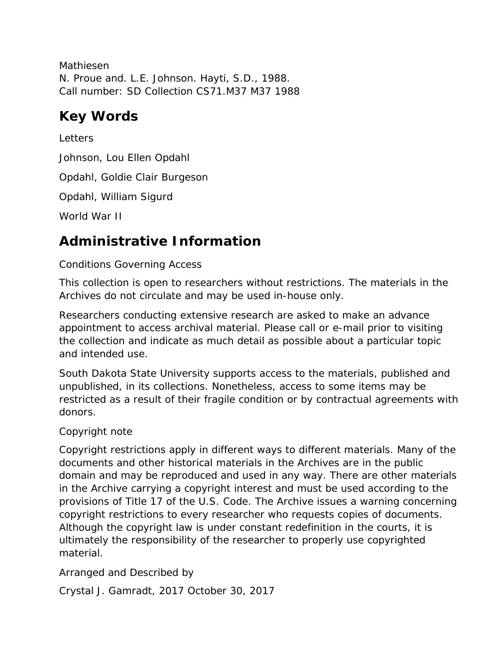Mathiesen N. Proue and. L.E. Johnson. Hayti, S.D., 1988. Call number: SD Collection CS71.M37 M37 1988

## **Key Words**

**Letters** Johnson, Lou Ellen Opdahl Opdahl, Goldie Clair Burgeson Opdahl, William Sigurd World War II

## **Administrative Information**

#### *Conditions Governing Access*

This collection is open to researchers without restrictions. The materials in the Archives do not circulate and may be used in-house only.

Researchers conducting extensive research are asked to make an advance appointment to access archival material. Please call or e-mail prior to visiting the collection and indicate as much detail as possible about a particular topic and intended use.

South Dakota State University supports access to the materials, published and unpublished, in its collections. Nonetheless, access to some items may be restricted as a result of their fragile condition or by contractual agreements with donors.

#### *Copyright note*

Copyright restrictions apply in different ways to different materials. Many of the documents and other historical materials in the Archives are in the public domain and may be reproduced and used in any way. There are other materials in the Archive carrying a copyright interest and must be used according to the provisions of Title 17 of the U.S. Code. The Archive issues a warning concerning copyright restrictions to every researcher who requests copies of documents. Although the copyright law is under constant redefinition in the courts, it is ultimately the responsibility of the researcher to properly use copyrighted material.

#### *Arranged and Described by*

Crystal J. Gamradt, 2017 October 30, 2017